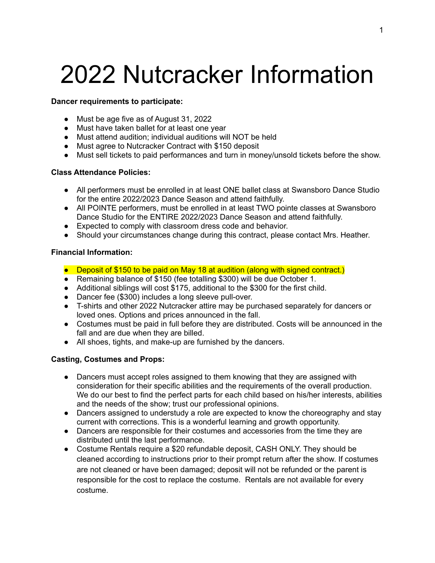# 2022 Nutcracker Information

### **Dancer requirements to participate:**

- Must be age five as of August 31, 2022
- Must have taken ballet for at least one year
- Must attend audition; individual auditions will NOT be held
- Must agree to Nutcracker Contract with \$150 deposit
- Must sell tickets to paid performances and turn in money/unsold tickets before the show.

## **Class Attendance Policies:**

- All performers must be enrolled in at least ONE ballet class at Swansboro Dance Studio for the entire 2022/2023 Dance Season and attend faithfully.
- All POINTE performers, must be enrolled in at least TWO pointe classes at Swansboro Dance Studio for the ENTIRE 2022/2023 Dance Season and attend faithfully.
- Expected to comply with classroom dress code and behavior.
- Should your circumstances change during this contract, please contact Mrs. Heather.

### **Financial Information:**

- Deposit of \$150 to be paid on May 18 at audition (along with signed contract.)
- Remaining balance of \$150 (fee totalling \$300) will be due October 1.
- Additional siblings will cost \$175, additional to the \$300 for the first child.
- Dancer fee (\$300) includes a long sleeve pull-over.
- T-shirts and other 2022 Nutcracker attire may be purchased separately for dancers or loved ones. Options and prices announced in the fall.
- Costumes must be paid in full before they are distributed. Costs will be announced in the fall and are due when they are billed.
- All shoes, tights, and make-up are furnished by the dancers.

# **Casting, Costumes and Props:**

- Dancers must accept roles assigned to them knowing that they are assigned with consideration for their specific abilities and the requirements of the overall production. We do our best to find the perfect parts for each child based on his/her interests, abilities and the needs of the show; trust our professional opinions.
- Dancers assigned to understudy a role are expected to know the choreography and stay current with corrections. This is a wonderful learning and growth opportunity.
- Dancers are responsible for their costumes and accessories from the time they are distributed until the last performance.
- Costume Rentals require a \$20 refundable deposit, CASH ONLY. They should be cleaned according to instructions prior to their prompt return after the show. If costumes are not cleaned or have been damaged; deposit will not be refunded or the parent is responsible for the cost to replace the costume. Rentals are not available for every costume.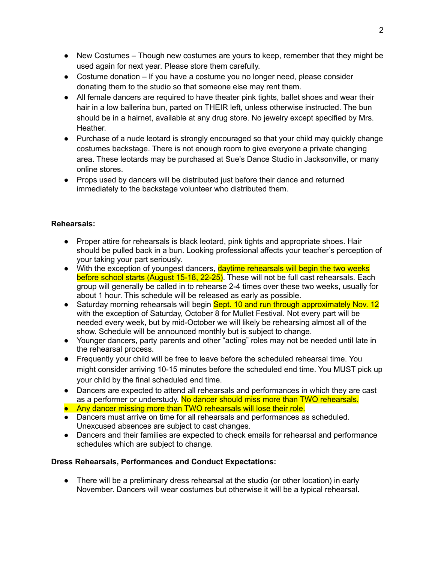- New Costumes Though new costumes are yours to keep, remember that they might be used again for next year. Please store them carefully.
- $\bullet$  Costume donation If you have a costume you no longer need, please consider donating them to the studio so that someone else may rent them.
- All female dancers are required to have theater pink tights, ballet shoes and wear their hair in a low ballerina bun, parted on THEIR left, unless otherwise instructed. The bun should be in a hairnet, available at any drug store. No jewelry except specified by Mrs. Heather.
- Purchase of a nude leotard is strongly encouraged so that your child may quickly change costumes backstage. There is not enough room to give everyone a private changing area. These leotards may be purchased at Sue's Dance Studio in Jacksonville, or many online stores.
- Props used by dancers will be distributed just before their dance and returned immediately to the backstage volunteer who distributed them.

## **Rehearsals:**

- Proper attire for rehearsals is black leotard, pink tights and appropriate shoes. Hair should be pulled back in a bun. Looking professional affects your teacher's perception of your taking your part seriously.
- With the exception of youngest dancers, **daytime rehearsals will begin the two weeks** before school starts (August 15-18, 22-25). These will not be full cast rehearsals. Each group will generally be called in to rehearse 2-4 times over these two weeks, usually for about 1 hour. This schedule will be released as early as possible.
- Saturday morning rehearsals will begin Sept. 10 and run through approximately Nov. 12 with the exception of Saturday, October 8 for Mullet Festival. Not every part will be needed every week, but by mid-October we will likely be rehearsing almost all of the show. Schedule will be announced monthly but is subject to change.
- Younger dancers, party parents and other "acting" roles may not be needed until late in the rehearsal process.
- Frequently your child will be free to leave before the scheduled rehearsal time. You might consider arriving 10-15 minutes before the scheduled end time. You MUST pick up your child by the final scheduled end time.
- Dancers are expected to attend all rehearsals and performances in which they are cast as a performer or understudy. No dancer should miss more than TWO rehearsals.
- Any dancer missing more than TWO rehearsals will lose their role.
- Dancers must arrive on time for all rehearsals and performances as scheduled. Unexcused absences are subject to cast changes.
- Dancers and their families are expected to check emails for rehearsal and performance schedules which are subject to change.

# **Dress Rehearsals, Performances and Conduct Expectations:**

● There will be a preliminary dress rehearsal at the studio (or other location) in early November. Dancers will wear costumes but otherwise it will be a typical rehearsal.